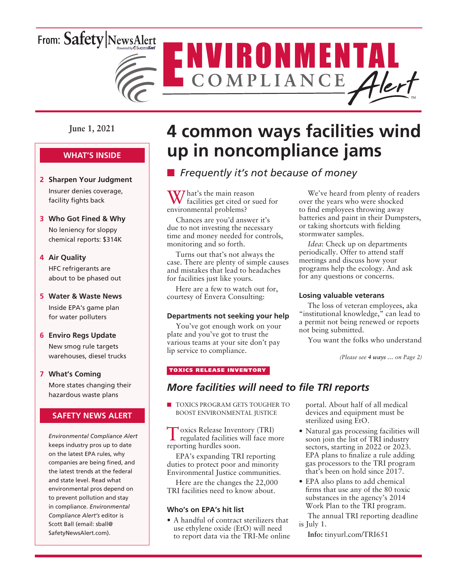# From: Safety NewsAlert



**June 1, 2021**

### **WHAT'S INSIDE**

- **2 Sharpen Your Judgment** Insurer denies coverage, facility fights back
- **3 Who Got Fined & Why** No leniency for sloppy chemical reports: \$314K

#### **4 Air Quality**

HFC refrigerants are about to be phased out

#### **5 Water & Waste News**

Inside EPA's game plan for water polluters

#### **6 Enviro Regs Update**

New smog rule targets warehouses, diesel trucks

### **7 What's Coming**

More states changing their hazardous waste plans

#### **SAFETY NEWS ALERT**

*Environmental Compliance Alert* keeps industry pros up to date on the latest EPA rules, why companies are being fined, and the latest trends at the federal and state level. Read what environmental pros depend on to prevent pollution and stay in compliance. *Environmental Compliance Alert's* editor is Scott Ball (email: sball@ SafetyNewsAlert.com).

# **4 common ways facilities wind up in noncompliance jams**

## **n** *Frequently it's not because of money*

W/ hat's the main reason facilities get cited or sued for environmental problems?

Chances are you'd answer it's due to not investing the necessary time and money needed for controls, monitoring and so forth.

Turns out that's not always the case. There are plenty of simple causes and mistakes that lead to headaches for facilities just like yours.

Here are a few to watch out for, courtesy of Envera Consulting:

#### **Departments not seeking your help**

You've got enough work on your plate and you've got to trust the various teams at your site don't pay lip service to compliance.

#### TOXICS RELEASE INVENTORY

### *More facilities will need to file TRI reports*

**n** TOXICS PROGRAM GETS TOUGHER TO BOOST ENVIRONMENTAL JUSTICE

Toxics Release Inventory (TRI) regulated facilities will face more reporting hurdles soon.

EPA's expanding TRI reporting duties to protect poor and minority Environmental Justice communities.

Here are the changes the 22,000 TRI facilities need to know about.

#### **Who's on EPA's hit list**

• A handful of contract sterilizers that use ethylene oxide (EtO) will need to report data via the TRI-Me online portal. About half of all medical devices and equipment must be sterilized using EtO.

- Natural gas processing facilities will soon join the list of TRI industry sectors, starting in 2022 or 2023. EPA plans to finalize a rule adding gas processors to the TRI program that's been on hold since 2017.
- EPA also plans to add chemical firms that use any of the 80 toxic substances in the agency's 2014 Work Plan to the TRI program.

The annual TRI reporting deadline is July 1.

**Info:** tinyurl.com/TRI651

We've heard from plenty of readers over the years who were shocked to find employees throwing away batteries and paint in their Dumpsters, or taking shortcuts with fielding

*Idea*: Check up on departments periodically. Offer to attend staff meetings and discuss how your programs help the ecology. And ask for any questions or concerns.

#### **Losing valuable veterans**

stormwater samples.

The loss of veteran employees, aka "institutional knowledge," can lead to a permit not being renewed or reports not being submitted.

You want the folks who understand

*(Please see 4 ways … on Page 2)*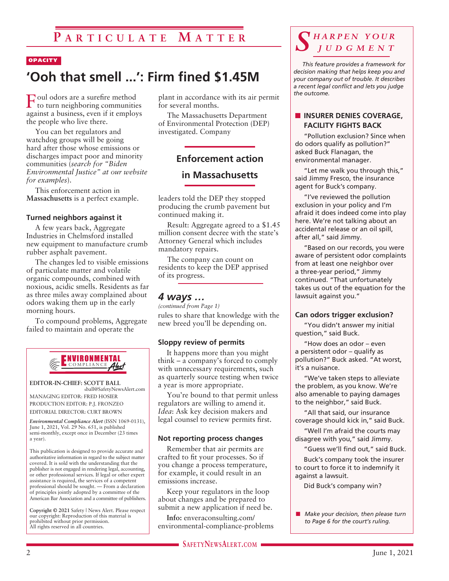#### **OPACITY**

## **'Ooh that smell ...': Firm fined \$1.45M**

 $\Gamma_{\scriptscriptstyle{\rm {to}}}^{\scriptscriptstyle {\rm {oul}}}$  odors are a surefire method to turn neighboring communities against a business, even if it employs the people who live there.

You can bet regulators and watchdog groups will be going hard after those whose emissions or discharges impact poor and minority communities (*search for "Biden Environmental Justice" at our website for examples*).

This enforcement action in **Massachusetts** is a perfect example.

#### **Turned neighbors against it**

A few years back, Aggregate Industries in Chelmsford installed new equipment to manufacture crumb rubber asphalt pavement.

The changes led to visible emissions of particulate matter and volatile organic compounds, combined with noxious, acidic smells. Residents as far as three miles away complained about odors waking them up in the early morning hours.

To compound problems, Aggregate failed to maintain and operate the



**EDITOR-IN-CHIEF: SCOTT BALL** sball@SafetyNewsAlert.com

MANAGING EDITOR: FRED HOSIER PRODUCTION EDITOR: P.J. FRONZEO EDITORIAL DIRECTOR: CURT BROWN

*Environmental Compliance Alert* (ISSN 1069-0131), June 1, 2021, Vol. 29 No. 651, is published semi-monthly, except once in December (23 times a year).

This publication is designed to provide accurate and authoritative information in regard to the subject matter covered. It is sold with the understanding that the publisher is not engaged in rendering legal, accounting, or other professional services. If legal or other expert assistance is required, the services of a competent professional should be sought. — From a declaration of principles jointly adopted by a committee of the American Bar Association and a committee of publishers.

**Copyright © 2021** Safety | News Alert. Please respect our copyright: Reproduction of this material is prohibited without prior permission. All rights reserved in all countries.

plant in accordance with its air permit for several months.

The Massachusetts Department of Environmental Protection (DEP) investigated. Company

## **Enforcement action**

### **in Massachusetts**

leaders told the DEP they stopped producing the crumb pavement but continued making it.

Result: Aggregate agreed to a \$1.45 million consent decree with the state's Attorney General which includes mandatory repairs.

The company can count on residents to keep the DEP apprised of its progress.

#### *4 ways …*

rules to share that knowledge with the new breed you'll be depending on. *(continued from Page 1)*

#### **Sloppy review of permits**

It happens more than you might think – a company's forced to comply with unnecessary requirements, such as quarterly source testing when twice a year is more appropriate.

You're bound to that permit unless regulators are willing to amend it. *Idea*: Ask key decision makers and legal counsel to review permits first.

#### **Not reporting process changes**

Remember that air permits are crafted to fit your processes. So if you change a process temperature, for example, it could result in an emissions increase.

Keep your regulators in the loop about changes and be prepared to submit a new application if need be.

**Info:** enveraconsulting.com/ environmental-compliance-problems

## *S h a r p e n y o u r j u d g m e n t*

*This feature provides a framework for decision making that helps keep you and your company out of trouble. It describes a recent legal conflict and lets you judge the outcome.*

#### **N** INSURER DENIES COVERAGE. **FACILITY FIGHTS BACK**

"Pollution exclusion? Since when do odors qualify as pollution?" asked Buck Flanagan, the environmental manager.

"Let me walk you through this," said Jimmy Fresco, the insurance agent for Buck's company.

"I've reviewed the pollution exclusion in your policy and I'm afraid it does indeed come into play here. We're not talking about an accidental release or an oil spill, after all," said Jimmy.

"Based on our records, you were aware of persistent odor complaints from at least one neighbor over a three-year period," Jimmy continued. "That unfortunately takes us out of the equation for the lawsuit against you."

#### **Can odors trigger exclusion?**

"You didn't answer my initial question," said Buck.

"How does an odor – even a persistent odor – qualify as pollution?" Buck asked. "At worst, it's a nuisance.

"We've taken steps to alleviate the problem, as you know. We're also amenable to paying damages to the neighbor," said Buck.

"All that said, our insurance coverage should kick in," said Buck.

"Well I'm afraid the courts may disagree with you," said Jimmy.

"Guess we'll find out," said Buck.

Buck's company took the insurer to court to force it to indemnify it against a lawsuit.

Did Buck's company win?

**n** *Make your decision, then please turn to Page 6 for the court's ruling.*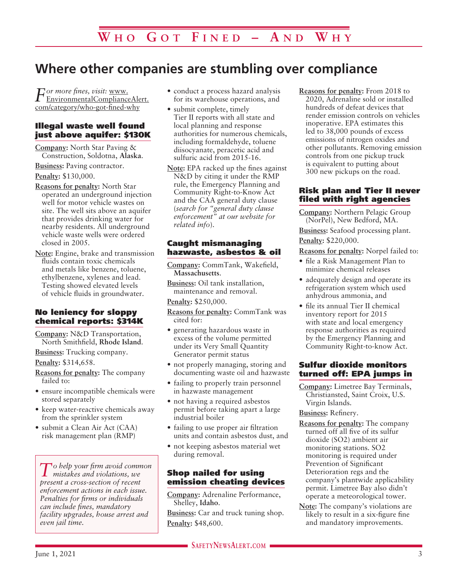## **Where other companies are stumbling over compliance**

*For more fines, visit:* www. EnvironmentalComplianceAlert. com/category/who-got-fined-why

#### Illegal waste well found just above aquifer: \$130K

**Company:** North Star Paving & Construction, Soldotna, **Alaska**.

**Business:** Paving contractor.

**Penalty:** \$130,000.

- **Reasons for penalty:** North Star operated an underground injection well for motor vehicle wastes on site. The well sits above an aquifer that provides drinking water for nearby residents. All underground vehicle waste wells were ordered closed in 2005.
- **Note:** Engine, brake and transmission fluids contain toxic chemicals and metals like benzene, toluene, ethylbenzene, xylenes and lead. Testing showed elevated levels of vehicle fluids in groundwater.

#### No leniency for sloppy chemical reports: \$314K

**Company:** N&D Transportation, North Smithfield, **Rhode Island**.

**Business:** Trucking company. **Penalty:** \$314,658.

- **Reasons for penalty:** The company failed to:
- ensure incompatible chemicals were stored separately
- keep water-reactive chemicals away from the sprinkler system
- submit a Clean Air Act (CAA) risk management plan (RMP)

*To help your firm avoid common mistakes and violations, we present a cross-section of recent enforcement actions in each issue. Penalties for firms or individuals can include fines, mandatory facility upgrades, house arrest and even jail time.*

- conduct a process hazard analysis for its warehouse operations, and
- submit complete, timely Tier II reports with all state and local planning and response authorities for numerous chemicals, including formaldehyde, toluene diisocyanate, peracetic acid and sulfuric acid from 2015-16.
- **Note:** EPA racked up the fines against N&D by citing it under the RMP rule, the Emergency Planning and Community Right-to-Know Act and the CAA general duty clause (*search for "general duty clause enforcement" at our website for related info*).

#### Caught mismanaging hazwaste, asbestos & oil

**Company:** CommTank, Wakefield, **Massachusetts**.

**Business:** Oil tank installation, maintenance and removal.

**Penalty:** \$250,000.

- **Reasons for penalty:** CommTank was cited for:
- generating hazardous waste in excess of the volume permitted under its Very Small Quantity Generator permit status
- not properly managing, storing and documenting waste oil and hazwaste
- failing to properly train personnel in hazwaste management
- not having a required asbestos permit before taking apart a large industrial boiler
- failing to use proper air filtration units and contain asbestos dust, and
- not keeping asbestos material wet during removal.

#### Shop nailed for using emission cheating devices

**Company:** Adrenaline Performance, Shelley, **Idaho**.

**Business:** Car and truck tuning shop. **Penalty:** \$48,600.

**Reasons for penalty:** From 2018 to 2020, Adrenaline sold or installed hundreds of defeat devices that render emission controls on vehicles inoperative. EPA estimates this led to 38,000 pounds of excess emissions of nitrogen oxides and other pollutants. Removing emission controls from one pickup truck is equivalent to putting about 300 new pickups on the road.

#### Risk plan and Tier II never filed with right agencies

**Company:** Northern Pelagic Group (NorPel), New Bedford, MA. **Business:** Seafood processing plant. **Penalty:** \$220,000.

**Reasons for penalty:** Norpel failed to:

- file a Risk Management Plan to minimize chemical releases
- adequately design and operate its refrigeration system which used anhydrous ammonia, and
- file its annual Tier II chemical inventory report for 2015 with state and local emergency response authorities as required by the Emergency Planning and Community Right-to-know Act.

#### Sulfur dioxide monitors turned off: EPA jumps in

**Company:** Limetree Bay Terminals, Christiansted, Saint Croix, U.S. Virgin Islands.

**Business:** Refinery.

- **Reasons for penalty:** The company turned off all five of its sulfur dioxide (SO2) ambient air monitoring stations. SO2 monitoring is required under Prevention of Significant Deterioration regs and the company's plantwide applicability permit. Limetree Bay also didn't operate a meteorological tower.
- **Note:** The company's violations are likely to result in a six-figure fine and mandatory improvements.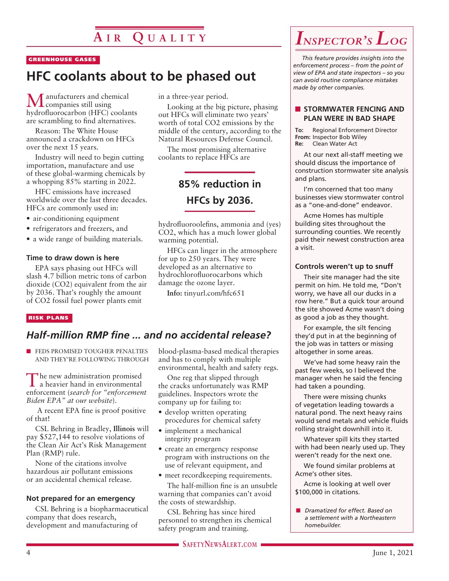#### GREENHOUSE GASES

## **HFC coolants about to be phased out**

anufacturers and chemical companies still using hydrofluorocarbon (HFC) coolants are scrambling to find alternatives.

Reason: The White House announced a crackdown on HFCs over the next 15 years.

Industry will need to begin cutting importation, manufacture and use of these global-warming chemicals by a whopping 85% starting in 2022.

HFC emissions have increased worldwide over the last three decades. HFCs are commonly used in:

- air-conditioning equipment
- refrigerators and freezers, and
- a wide range of building materials.

#### **Time to draw down is here**

EPA says phasing out HFCs will slash 4.7 billion metric tons of carbon dioxide (CO2) equivalent from the air by 2036. That's roughly the amount of CO2 fossil fuel power plants emit

#### RISK PLANS

### *Half-million RMP fine ... and no accidental release?*

**n** FEDS PROMISED TOUGHER PENALTIES AND THEY'RE FOLLOWING THROUGH

The new administration promised a heavier hand in environmental enforcement (*search for "enforcement Biden EPA" at our website*).

 A recent EPA fine is proof positive of that!

CSL Behring in Bradley, **Illinois** will pay \$527,144 to resolve violations of the Clean Air Act's Risk Management Plan (RMP) rule.

None of the citations involve hazardous air pollutant emissions or an accidental chemical release.

#### **Not prepared for an emergency**

CSL Behring is a biopharmaceutical company that does research, development and manufacturing of

in a three-year period.

Looking at the big picture, phasing out HFCs will eliminate two years' worth of total CO2 emissions by the middle of the century, according to the Natural Resources Defense Council.

The most promising alternative coolants to replace HFCs are

## **85% reduction in HFCs by 2036.**

hydrofluoroolefins, ammonia and (yes) CO2, which has a much lower global warming potential.

HFCs can linger in the atmosphere for up to 250 years. They were developed as an alternative to hydrochlorofluorocarbons which damage the ozone layer.

**Info:** tinyurl.com/hfc651

blood-plasma-based medical therapies and has to comply with multiple environmental, health and safety regs.

One reg that slipped through the cracks unfortunately was RMP guidelines. Inspectors wrote the company up for failing to:

- develop written operating procedures for chemical safety
- implement a mechanical integrity program
- create an emergency response program with instructions on the use of relevant equipment, and
- meet recordkeeping requirements.

The half-million fine is an unsubtle warning that companies can't avoid the costs of stewardship.

CSL Behring has since hired personnel to strengthen its chemical safety program and training.



*This feature provides insights into the enforcement process – from the point of view of EPA and state inspectors – so you can avoid routine compliance mistakes made by other companies.*

#### **N** STORMWATER FENCING AND **PLAN WERE IN BAD SHAPE**

**To:** Regional Enforcement Director **From:** Inspector Bob Wiley<br>**Re:** Clean Water Act **Re:** Clean Water Act

At our next all-staff meeting we should discuss the importance of construction stormwater site analysis and plans.

I'm concerned that too many businesses view stormwater control as a "one-and-done" endeavor.

Acme Homes has multiple building sites throughout the surrounding counties. We recently paid their newest construction area a visit.

#### **Controls weren't up to snuff**

Their site manager had the site permit on him. He told me, "Don't worry, we have all our ducks in a row here." But a quick tour around the site showed Acme wasn't doing as good a job as they thought.

For example, the silt fencing they'd put in at the beginning of the job was in tatters or missing altogether in some areas.

We've had some heavy rain the past few weeks, so I believed the manager when he said the fencing had taken a pounding.

There were missing chunks of vegetation leading towards a natural pond. The next heavy rains would send metals and vehicle fluids rolling straight downhill into it.

Whatever spill kits they started with had been nearly used up. They weren't ready for the next one.

We found similar problems at Acme's other sites.

Acme is looking at well over \$100,000 in citations.

n *Dramatized for effect. Based on a settlement with a Northeastern homebuilder.*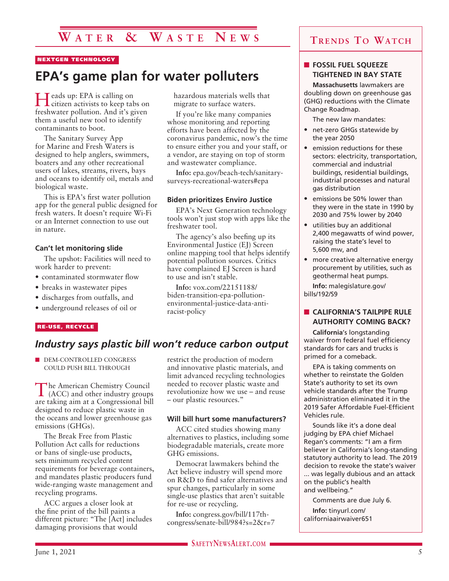## **W a t e r & W a s t e N e w s**

#### NEXTGEN TECHNOLOGY

## **EPA's game plan for water polluters**

Heads up: EPA is calling on citizen activists to keep tabs on freshwater pollution. And it's given them a useful new tool to identify contaminants to boot.

The Sanitary Survey App for Marine and Fresh Waters is designed to help anglers, swimmers, boaters and any other recreational users of lakes, streams, rivers, bays and oceans to identify oil, metals and biological waste.

This is EPA's first water pollution app for the general public designed for fresh waters. It doesn't require Wi-Fi or an Internet connection to use out in nature.

#### **Can't let monitoring slide**

The upshot: Facilities will need to work harder to prevent:

- contaminated stormwater flow
- breaks in wastewater pipes
- discharges from outfalls, and
- underground releases of oil or

#### RE-USE, RECYCLE

### *Industry says plastic bill won't reduce carbon output*

DEM-CONTROLLED CONGRESS COULD PUSH BILL THROUGH

The American Chemistry Council (ACC) and other industry groups are taking aim at a Congressional bill designed to reduce plastic waste in the oceans and lower greenhouse gas emissions (GHGs).

The Break Free from Plastic Pollution Act calls for reductions or bans of single-use products, sets minimum recycled content requirements for beverage containers, and mandates plastic producers fund wide-ranging waste management and recycling programs.

ACC argues a closer look at the fine print of the bill paints a different picture: "The [Act] includes damaging provisions that would

restrict the production of modern and innovative plastic materials, and limit advanced recycling technologies needed to recover plastic waste and revolutionize how we use – and reuse – our plastic resources."

hazardous materials wells that migrate to surface waters. If you're like many companies whose monitoring and reporting efforts have been affected by the coronavirus pandemic, now's the time to ensure either you and your staff, or a vendor, are staying on top of storm

and wastewater compliance.

freshwater tool.

to use and isn't stable.

racist-policy

**Info:** vox.com/22151188/ biden-transition-epa-pollutionenvironmental-justice-data-anti-

**Info:** epa.gov/beach-tech/sanitarysurveys-recreational-waters#epa

EPA's Next Generation technology tools won't just stop with apps like the

The agency's also beefing up its Environmental Justice (EJ) Screen online mapping tool that helps identify potential pollution sources. Critics have complained EJ Screen is hard

**Biden prioritizes Enviro Justice**

#### **Will bill hurt some manufacturers?**

ACC cited studies showing many alternatives to plastics, including some biodegradable materials, create more GHG emissions.

Democrat lawmakers behind the Act believe industry will spend more on R&D to find safer alternatives and spur changes, particularly in some single-use plastics that aren't suitable for re-use or recycling.

**Info:** congress.gov/bill/117thcongress/senate-bill/984?s=2&r=7

### **Trends To Watch**

#### **n** FOSSIL FUEL SQUEEZE **TIGHTENED IN BAY STATE**

**Massachusetts** lawmakers are doubling down on greenhouse gas (GHG) reductions with the Climate Change Roadmap.

The new law mandates:

- net-zero GHGs statewide by the year 2050
- emission reductions for these sectors: electricity, transportation, commercial and industrial buildings, residential buildings, industrial processes and natural gas distribution
- emissions be 50% lower than they were in the state in 1990 by 2030 and 75% lower by 2040
- utilities buy an additional 2,400 megawatts of wind power, raising the state's level to 5,600 mw, and
- more creative alternative energy procurement by utilities, such as geothermal heat pumps. **Info:** malegislature.gov/ bills/192/S9

#### **n** CALIFORNIA'S TAILPIPE RULE **AUTHORITY COMING BACK?**

**California**'s longstanding waiver from federal fuel efficiency standards for cars and trucks is primed for a comeback.

EPA is taking comments on whether to reinstate the Golden State's authority to set its own vehicle standards after the Trump administration eliminated it in the 2019 Safer Affordable Fuel-Efficient Vehicles rule.

Sounds like it's a done deal judging by EPA chief Michael Regan's comments: "I am a firm believer in California's long-standing statutory authority to lead. The 2019 decision to revoke the state's waiver ... was legally dubious and an attack on the public's health and wellbeing."

Comments are due July 6.

**Info:** tinyurl.com/ californiaairwaiver651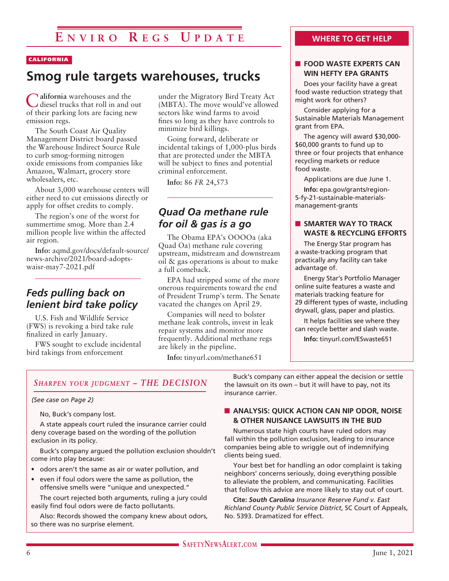#### CALIFORNIA

## **Smog rule targets warehouses, trucks**

C**alifornia** warehouses and the diesel trucks that roll in and out of their parking lots are facing new emission regs.

The South Coast Air Quality Management District board passed the Warehouse Indirect Source Rule to curb smog-forming nitrogen oxide emissions from companies like Amazon, Walmart, grocery store wholesalers, etc.

About 3,000 warehouse centers will either need to cut emissions directly or apply for offset credits to comply.

The region's one of the worst for summertime smog. More than 2.4 million people live within the affected air region.

**Info:** aqmd.gov/docs/default-source/ news-archive/2021/board-adoptswaisr-may7-2021.pdf

### *Feds pulling back on lenient bird take policy*

U.S. Fish and Wildlife Service (FWS) is revoking a bird take rule finalized in early January.

FWS sought to exclude incidental bird takings from enforcement

under the Migratory Bird Treaty Act (MBTA). The move would've allowed sectors like wind farms to avoid fines so long as they have controls to minimize bird killings.

Going forward, deliberate or incidental takings of 1,000-plus birds that are protected under the MBTA will be subject to fines and potential criminal enforcement.

**Info:** 86 *FR* 24,573

### *Quad Oa methane rule for oil & gas is a go*

The Obama EPA's OOOOa (aka Quad Oa) methane rule covering upstream, midstream and downstream oil & gas operations is about to make a full comeback.

EPA had stripped some of the more onerous requirements toward the end of President Trump's term. The Senate vacated the changes on April 29.

Companies will need to bolster methane leak controls, invest in leak repair systems and monitor more frequently. Additional methane regs are likely in the pipeline.

**Info:** tinyurl.com/methane651

#### **WHERE TO GET HELP**

#### **N** FOOD WASTE EXPERTS CAN **WIN HEFTY EPA GRANTS**

Does your facility have a great food waste reduction strategy that might work for others?

Consider applying for a Sustainable Materials Management grant from EPA.

The agency will award \$30,000- \$60,000 grants to fund up to three or four projects that enhance recycling markets or reduce food waste.

Applications are due June 1.

**Info:** epa.gov/grants/region-5-fy-21-sustainable-materialsmanagement-grants

#### **NO SMARTER WAY TO TRACK WASTE & RECYCLING EFFORTS**

The Energy Star program has a waste-tracking program that practically any facility can take advantage of.

Energy Star's Portfolio Manager online suite features a waste and materials tracking feature for 29 different types of waste, including drywall, glass, paper and plastics.

It helps facilities see where they can recycle better and slash waste.

**Info:** tinyurl.com/ESwaste651

#### *Sharpen your judgment – THE DECISION*

#### *(See case on Page 2)*

No, Buck's company lost.

A state appeals court ruled the insurance carrier could deny coverage based on the wording of the pollution exclusion in its policy.

Buck's company argued the pollution exclusion shouldn't come into play because:

- odors aren't the same as air or water pollution, and
- even if foul odors were the same as pollution, the offensive smells were "unique and unexpected."

The court rejected both arguments, ruling a jury could easily find foul odors were de facto pollutants.

Also: Records showed the company knew about odors, so there was no surprise element.

Buck's company can either appeal the decision or settle the lawsuit on its own – but it will have to pay, not its insurance carrier.

#### **N** ANALYSIS: QUICK ACTION CAN NIP ODOR, NOISE **& OTHER NUISANCE LAWSUITS IN THE BUD**

Numerous state high courts have ruled odors may fall within the pollution exclusion, leading to insurance companies being able to wriggle out of indemnifying clients being sued.

Your best bet for handling an odor complaint is taking neighbors' concerns seriously, doing everything possible to alleviate the problem, and communicating. Facilities that follow this advice are more likely to stay out of court.

**Cite:** *South Carolina Insurance Reserve Fund v. East Richland County Public Service District*, SC Court of Appeals, No. 5393. Dramatized for effect.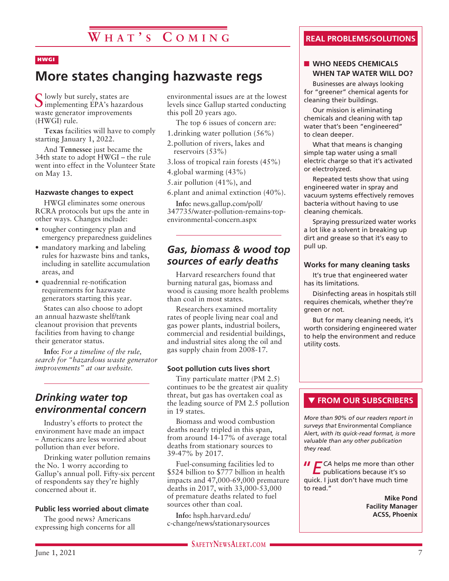#### HWGI

## **More states changing hazwaste regs**

S lowly but surely, states are<br>Simplementing EPA's hazardous waste generator improvements (HWGI) rule.

**Texas** facilities will have to comply starting January 1, 2022.

And **Tennessee** just became the 34th state to adopt HWGI – the rule went into effect in the Volunteer State on May 13.

#### **Hazwaste changes to expect**

HWGI eliminates some onerous RCRA protocols but ups the ante in other ways. Changes include:

- tougher contingency plan and emergency preparedness guidelines
- mandatory marking and labeling rules for hazwaste bins and tanks, including in satellite accumulation areas, and
- quadrennial re-notification requirements for hazwaste generators starting this year.

States can also choose to adopt an annual hazwaste shelf/tank cleanout provision that prevents facilities from having to change their generator status.

**Info:** *For a timeline of the rule, search for "hazardous waste generator improvements" at our website.*

### *Drinking water top environmental concern*

Industry's efforts to protect the environment have made an impact – Americans are less worried about pollution than ever before.

Drinking water pollution remains the No. 1 worry according to Gallup's annual poll. Fifty-six percent of respondents say they're highly concerned about it.

#### **Public less worried about climate**

The good news? Americans expressing high concerns for all environmental issues are at the lowest levels since Gallup started conducting this poll 20 years ago.

The top 6 issues of concern are:

1.drinking water pollution (56%)

2.pollution of rivers, lakes and reservoirs (53%)

3.loss of tropical rain forests (45%) 4.global warming (43%)

5.air pollution (41%), and

6.plant and animal extinction (40%).

**Info:** news.gallup.com/poll/ 347735/water-pollution-remains-topenvironmental-concern.aspx

### *Gas, biomass & wood top sources of early deaths*

Harvard researchers found that burning natural gas, biomass and wood is causing more health problems than coal in most states.

Researchers examined mortality rates of people living near coal and gas power plants, industrial boilers, commercial and residential buildings, and industrial sites along the oil and gas supply chain from 2008-17.

#### **Soot pollution cuts lives short**

Tiny particulate matter (PM 2.5) continues to be the greatest air quality threat, but gas has overtaken coal as the leading source of PM 2.5 pollution in 19 states.

Biomass and wood combustion deaths nearly tripled in this span, from around 14-17% of average total deaths from stationary sources to 39-47% by 2017.

Fuel-consuming facilities led to \$524 billion to \$777 billion in health impacts and 47,000-69,000 premature deaths in 2017, with 33,000-53,000 of premature deaths related to fuel sources other than coal.

**SAFETYNEWSALERT.COM** 

**Info:** hsph.harvard.edu/ c-change/news/stationarysources

#### **REAL PROBLEMS/SOLUTIONS**

#### **NO NEEDS CHEMICALS WHEN TAP WATER WILL DO?**

Businesses are always looking for "greener" chemical agents for cleaning their buildings.

Our mission is eliminating chemicals and cleaning with tap water that's been "engineered" to clean deeper.

What that means is changing simple tap water using a small electric charge so that it's activated or electrolyzed.

Repeated tests show that using engineered water in spray and vacuum systems effectively removes bacteria without having to use cleaning chemicals.

Spraying pressurized water works a lot like a solvent in breaking up dirt and grease so that it's easy to pull up.

#### **Works for many cleaning tasks**

It's true that engineered water has its limitations.

Disinfecting areas in hospitals still requires chemicals, whether they're green or not.

But for many cleaning needs, it's worth considering engineered water to help the environment and reduce utility costs.

#### **THE FROM OUR SUBSCRIBERS**

*More than 90% of our readers report in surveys that* Environmental Compliance Alert, *with its quick-read format, is more valuable than any other publication they read.*

**II** ECA helps me more than other publications because it's so quick. I just don't have much time to read."

> **Mike Pond Facility Manager ACSS, Phoenix**